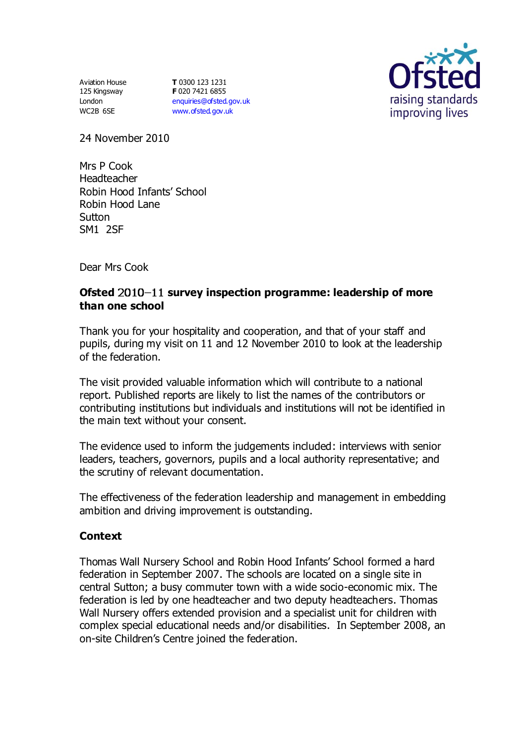Aviation House 125 Kingsway London WC2B 6SE

**T** 0300 123 1231 **F** 020 7421 6855 [enquiries@ofsted.gov.uk](mailto:enquiries@ofsted.gov.uk) [www.ofsted.gov.uk](http://www.ofsted.gov.uk/)



24 November 2010

Mrs P Cook Headteacher Robin Hood Infants' School Robin Hood Lane **Sutton** SM1 2SF

Dear Mrs Cook

# Ofsted 2010-11 survey inspection programme: leadership of more **than one school**

Thank you for your hospitality and cooperation, and that of your staff and pupils, during my visit on 11 and 12 November 2010 to look at the leadership of the federation.

The visit provided valuable information which will contribute to a national report. Published reports are likely to list the names of the contributors or contributing institutions but individuals and institutions will not be identified in the main text without your consent.

The evidence used to inform the judgements included: interviews with senior leaders, teachers, governors, pupils and a local authority representative; and the scrutiny of relevant documentation.

The effectiveness of the federation leadership and management in embedding ambition and driving improvement is outstanding.

### **Context**

Thomas Wall Nursery School and Robin Hood Infants' School formed a hard federation in September 2007. The schools are located on a single site in central Sutton; a busy commuter town with a wide socio-economic mix. The federation is led by one headteacher and two deputy headteachers. Thomas Wall Nursery offers extended provision and a specialist unit for children with complex special educational needs and/or disabilities. In September 2008, an on-site Children's Centre joined the federation.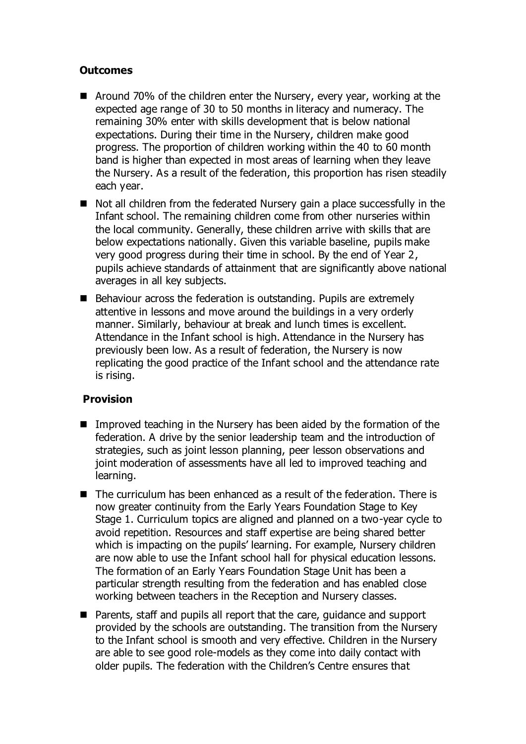# **Outcomes**

- Around 70% of the children enter the Nursery, every year, working at the expected age range of 30 to 50 months in literacy and numeracy. The remaining 30% enter with skills development that is below national expectations. During their time in the Nursery, children make good progress. The proportion of children working within the 40 to 60 month band is higher than expected in most areas of learning when they leave the Nursery. As a result of the federation, this proportion has risen steadily each year.
- Not all children from the federated Nursery gain a place successfully in the Infant school. The remaining children come from other nurseries within the local community. Generally, these children arrive with skills that are below expectations nationally. Given this variable baseline, pupils make very good progress during their time in school. By the end of Year 2, pupils achieve standards of attainment that are significantly above national averages in all key subjects.
- Behaviour across the federation is outstanding. Pupils are extremely attentive in lessons and move around the buildings in a very orderly manner. Similarly, behaviour at break and lunch times is excellent. Attendance in the Infant school is high. Attendance in the Nursery has previously been low. As a result of federation, the Nursery is now replicating the good practice of the Infant school and the attendance rate is rising.

### **Provision**

- Improved teaching in the Nursery has been aided by the formation of the federation. A drive by the senior leadership team and the introduction of strategies, such as joint lesson planning, peer lesson observations and joint moderation of assessments have all led to improved teaching and learning.
- The curriculum has been enhanced as a result of the federation. There is now greater continuity from the Early Years Foundation Stage to Key Stage 1. Curriculum topics are aligned and planned on a two-year cycle to avoid repetition. Resources and staff expertise are being shared better which is impacting on the pupils' learning. For example, Nursery children are now able to use the Infant school hall for physical education lessons. The formation of an Early Years Foundation Stage Unit has been a particular strength resulting from the federation and has enabled close working between teachers in the Reception and Nursery classes.
- Parents, staff and pupils all report that the care, quidance and support provided by the schools are outstanding. The transition from the Nursery to the Infant school is smooth and very effective. Children in the Nursery are able to see good role-models as they come into daily contact with older pupils. The federation with the Children's Centre ensures that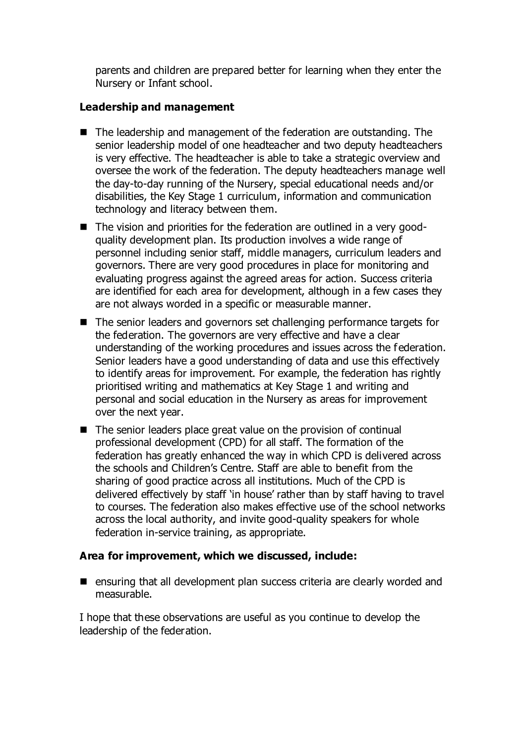parents and children are prepared better for learning when they enter the Nursery or Infant school.

### **Leadership and management**

- The leadership and management of the federation are outstanding. The senior leadership model of one headteacher and two deputy headteachers is very effective. The headteacher is able to take a strategic overview and oversee the work of the federation. The deputy headteachers manage well the day-to-day running of the Nursery, special educational needs and/or disabilities, the Key Stage 1 curriculum, information and communication technology and literacy between them.
- The vision and priorities for the federation are outlined in a very goodquality development plan. Its production involves a wide range of personnel including senior staff, middle managers, curriculum leaders and governors. There are very good procedures in place for monitoring and evaluating progress against the agreed areas for action. Success criteria are identified for each area for development, although in a few cases they are not always worded in a specific or measurable manner.
- The senior leaders and governors set challenging performance targets for the federation. The governors are very effective and have a clear understanding of the working procedures and issues across the federation. Senior leaders have a good understanding of data and use this effectively to identify areas for improvement. For example, the federation has rightly prioritised writing and mathematics at Key Stage 1 and writing and personal and social education in the Nursery as areas for improvement over the next year.
- The senior leaders place great value on the provision of continual professional development (CPD) for all staff. The formation of the federation has greatly enhanced the way in which CPD is delivered across the schools and Children's Centre. Staff are able to benefit from the sharing of good practice across all institutions. Much of the CPD is delivered effectively by staff 'in house' rather than by staff having to travel to courses. The federation also makes effective use of the school networks across the local authority, and invite good-quality speakers for whole federation in-service training, as appropriate.

### **Area for improvement, which we discussed, include:**

■ ensuring that all development plan success criteria are clearly worded and measurable.

I hope that these observations are useful as you continue to develop the leadership of the federation.